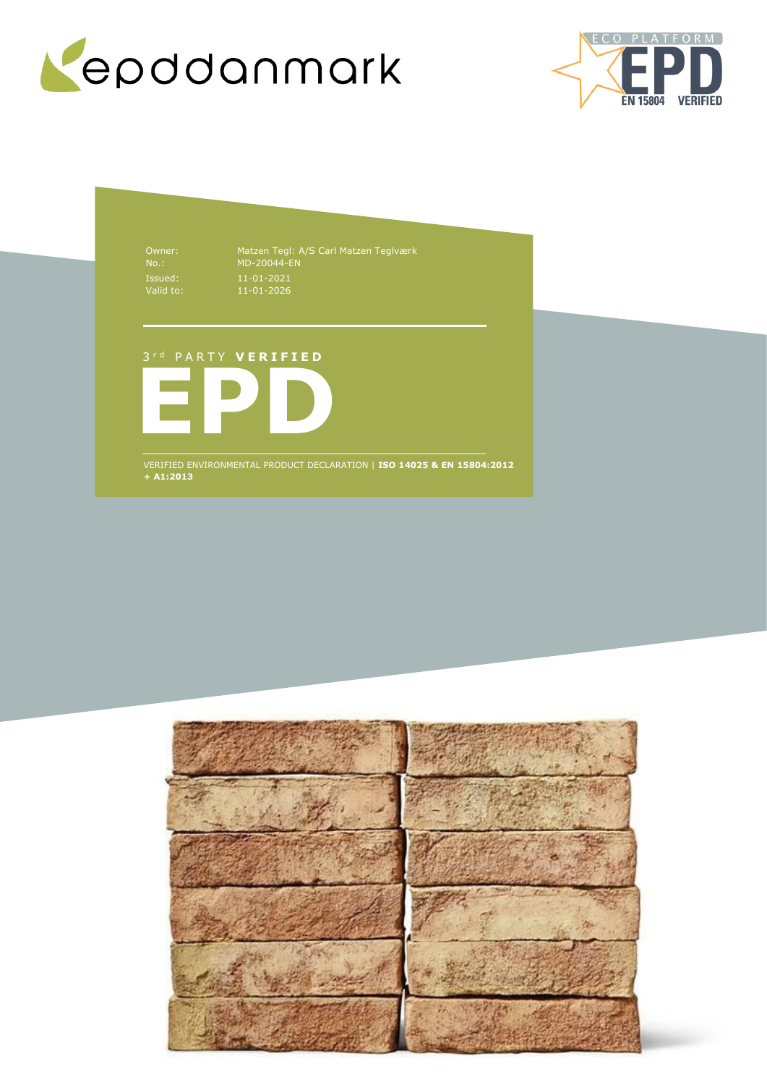



Issued: Valid to:

Owner: Matzen Tegl: A/S Carl Matzen Teglværk No.: MD-20044-EN 11-01-2021 11-01-2026

## 3 r d P A R T Y **V E R I F I E D**



VERIFIED ENVIRONMENTAL PRODUCT DECLARATION | **ISO 14025 & EN 15804:2012 + A1:2013**

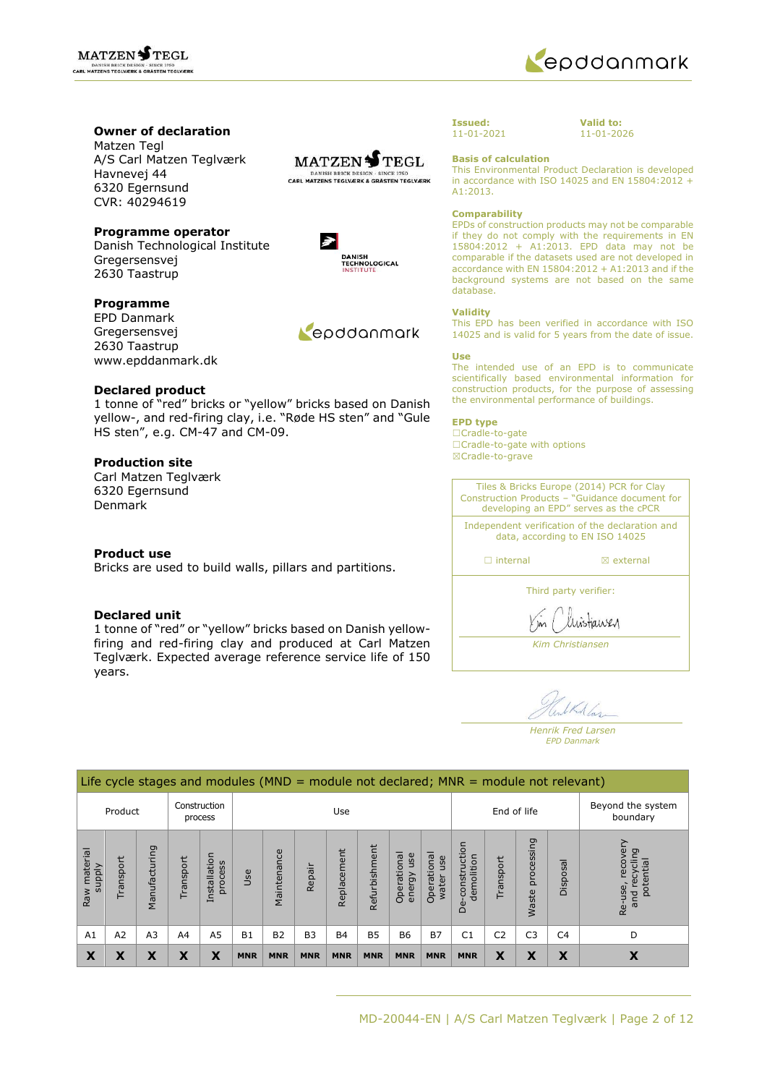



## **Owner of declaration**

Matzen Tegl A/S Carl Matzen Teglværk Havnevej 44 6320 Egernsund CVR: 40294619



**DANISH<br>TECHNOLOGICAL** NSTITUTI

 $\geq$ 

## **Programme operator**

Danish Technological Institute Gregersensvej 2630 Taastrup

## **Programme**

EPD Danmark Gregersensvej 2630 Taastrup www.epddanmark.dk



### **Declared product**

1 tonne of "red" bricks or "yellow" bricks based on Danish yellow-, and red-firing clay, i.e. "Røde HS sten" and "Gule HS sten", e.g. CM-47 and CM-09.

## **Production site**

Carl Matzen Teglværk 6320 Egernsund Denmark

## **Product use**

Bricks are used to build walls, pillars and partitions.

## **Declared unit**

1 tonne of "red" or "yellow" bricks based on Danish yellowfiring and red-firing clay and produced at Carl Matzen Teglværk. Expected average reference service life of 150 years.



**Valid to:** 11-01-2026

**Basis of calculation**

This Environmental Product Declaration is developed in accordance with ISO 14025 and EN 15804:2012 + A1:2013.

#### **Comparability**

EPDs of construction products may not be comparable if they do not comply with the requirements in EN 15804:2012 + A1:2013. EPD data may not be comparable if the datasets used are not developed in accordance with EN  $15804:2012 + A1:2013$  and if the background systems are not based on the same database.

#### **Validity**

This EPD has been verified in accordance with ISO 14025 and is valid for 5 years from the date of issue.

#### **Use**

The intended use of an EPD is to communicate scientifically based environmental information for construction products, for the purpose of assessing the environmental performance of buildings.

#### **EPD type**

☐Cradle-to-gate ☐Cradle-to-gate with options ☒Cradle-to-grave

Tiles & Bricks Europe (2014) PCR for Clay Construction Products – "Guidance document for developing an EPD" serves as the cPCR Independent verification of the declaration and data, according to EN ISO 14025 □ internal **I I** axternal Third party verifier: histianen *Kim Christiansen*

Mas

*Henrik Fred Larsen EPD Danmark*

|                        | Life cycle stages and modules ( $MND =$ module not declared; $MNR =$ module not relevant) |                |           |                         |                |             |            |             |               |                                |                             |                                                     |                |                     |                |                                                    |
|------------------------|-------------------------------------------------------------------------------------------|----------------|-----------|-------------------------|----------------|-------------|------------|-------------|---------------|--------------------------------|-----------------------------|-----------------------------------------------------|----------------|---------------------|----------------|----------------------------------------------------|
| Product                |                                                                                           |                |           | Construction<br>process |                |             |            | Use         |               |                                |                             |                                                     | End of life    |                     |                | Beyond the system<br>boundary                      |
| Raw material<br>supply | Transport                                                                                 | Manufacturing  | Transport | Installation<br>process | Use            | Maintenance | Repair     | Replacement | Refurbishment | Operational<br>use<br>energy u | Operational<br>use<br>water | construction<br>demolition<br>$\omega$<br>$\bigcap$ | Transport      | processing<br>Waste | Disposal       | recove<br>recycling<br>potential<br>Re-use,<br>and |
| A1                     | A2                                                                                        | A <sub>3</sub> | A4        | A <sub>5</sub>          | B <sub>1</sub> | <b>B2</b>   | <b>B3</b>  | <b>B4</b>   | <b>B5</b>     | <b>B6</b>                      | <b>B7</b>                   | C <sub>1</sub>                                      | C <sub>2</sub> | C <sub>3</sub>      | C <sub>4</sub> | D                                                  |
| X                      | Χ                                                                                         | X              | Χ         | Х                       | <b>MNR</b>     | <b>MNR</b>  | <b>MNR</b> | <b>MNR</b>  | <b>MNR</b>    | <b>MNR</b>                     | <b>MNR</b>                  | <b>MNR</b>                                          | X              | X                   | X              | X                                                  |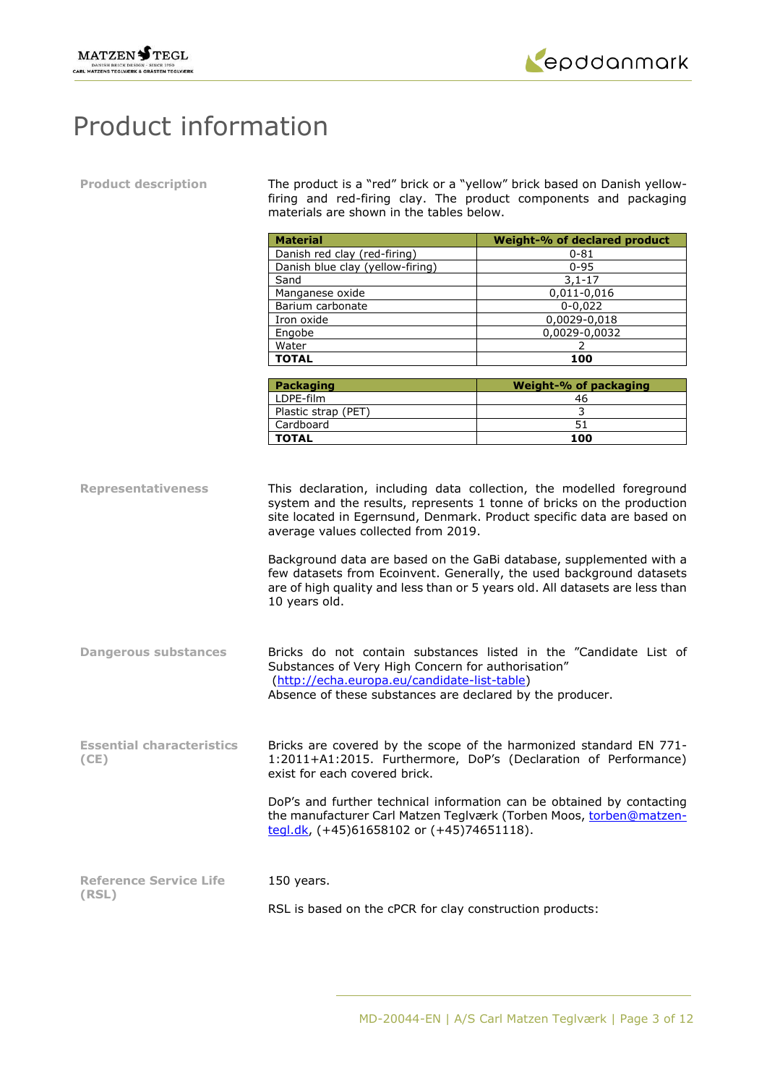



# Product information

**Product description** The product is a "red" brick or a "yellow" brick based on Danish yellowfiring and red-firing clay. The product components and packaging materials are shown in the tables below.

|                                                          | <b>Material</b>                                                                                                                                                        | Weight-% of declared product                                                                                                                                                                                                                                                                                                                                                                                                                                                                                                 |  |  |  |  |
|----------------------------------------------------------|------------------------------------------------------------------------------------------------------------------------------------------------------------------------|------------------------------------------------------------------------------------------------------------------------------------------------------------------------------------------------------------------------------------------------------------------------------------------------------------------------------------------------------------------------------------------------------------------------------------------------------------------------------------------------------------------------------|--|--|--|--|
|                                                          | Danish red clay (red-firing)                                                                                                                                           | $0 - 81$                                                                                                                                                                                                                                                                                                                                                                                                                                                                                                                     |  |  |  |  |
|                                                          | Danish blue clay (yellow-firing)                                                                                                                                       | $0 - 95$                                                                                                                                                                                                                                                                                                                                                                                                                                                                                                                     |  |  |  |  |
|                                                          | Sand                                                                                                                                                                   | $3,1-17$                                                                                                                                                                                                                                                                                                                                                                                                                                                                                                                     |  |  |  |  |
|                                                          | Manganese oxide                                                                                                                                                        | 0,011-0,016                                                                                                                                                                                                                                                                                                                                                                                                                                                                                                                  |  |  |  |  |
|                                                          | Barium carbonate                                                                                                                                                       | $0 - 0,022$                                                                                                                                                                                                                                                                                                                                                                                                                                                                                                                  |  |  |  |  |
|                                                          | Iron oxide                                                                                                                                                             | 0,0029-0,018                                                                                                                                                                                                                                                                                                                                                                                                                                                                                                                 |  |  |  |  |
|                                                          | Engobe                                                                                                                                                                 | 0,0029-0,0032                                                                                                                                                                                                                                                                                                                                                                                                                                                                                                                |  |  |  |  |
|                                                          | Water                                                                                                                                                                  | 2                                                                                                                                                                                                                                                                                                                                                                                                                                                                                                                            |  |  |  |  |
|                                                          | <b>TOTAL</b>                                                                                                                                                           | 100                                                                                                                                                                                                                                                                                                                                                                                                                                                                                                                          |  |  |  |  |
|                                                          | <b>Packaging</b>                                                                                                                                                       | <b>Weight-% of packaging</b>                                                                                                                                                                                                                                                                                                                                                                                                                                                                                                 |  |  |  |  |
|                                                          | LDPE-film                                                                                                                                                              | 46                                                                                                                                                                                                                                                                                                                                                                                                                                                                                                                           |  |  |  |  |
|                                                          | Plastic strap (PET)                                                                                                                                                    | $\mathsf{3}$                                                                                                                                                                                                                                                                                                                                                                                                                                                                                                                 |  |  |  |  |
|                                                          | Cardboard                                                                                                                                                              | 51                                                                                                                                                                                                                                                                                                                                                                                                                                                                                                                           |  |  |  |  |
|                                                          | <b>TOTAL</b>                                                                                                                                                           | 100                                                                                                                                                                                                                                                                                                                                                                                                                                                                                                                          |  |  |  |  |
| <b>Representativeness</b><br><b>Dangerous substances</b> | average values collected from 2019.<br>10 years old.                                                                                                                   | This declaration, including data collection, the modelled foreground<br>system and the results, represents 1 tonne of bricks on the production<br>site located in Egernsund, Denmark. Product specific data are based on<br>Background data are based on the GaBi database, supplemented with a<br>few datasets from Ecoinvent. Generally, the used background datasets<br>are of high quality and less than or 5 years old. All datasets are less than<br>Bricks do not contain substances listed in the "Candidate List of |  |  |  |  |
|                                                          | Substances of Very High Concern for authorisation"<br>(http://echa.europa.eu/candidate-list-table)<br>Absence of these substances are declared by the producer.        |                                                                                                                                                                                                                                                                                                                                                                                                                                                                                                                              |  |  |  |  |
| <b>Essential characteristics</b><br>(CE)                 | Bricks are covered by the scope of the harmonized standard EN 771-<br>1:2011+A1:2015. Furthermore, DoP's (Declaration of Performance)<br>exist for each covered brick. |                                                                                                                                                                                                                                                                                                                                                                                                                                                                                                                              |  |  |  |  |
|                                                          | tegl.dk, $(+45)61658102$ or $(+45)74651118$ ).                                                                                                                         | DoP's and further technical information can be obtained by contacting<br>the manufacturer Carl Matzen Teglværk (Torben Moos, torben@matzen-                                                                                                                                                                                                                                                                                                                                                                                  |  |  |  |  |
| <b>Reference Service Life</b>                            | 150 years.                                                                                                                                                             |                                                                                                                                                                                                                                                                                                                                                                                                                                                                                                                              |  |  |  |  |
| (RSL)                                                    |                                                                                                                                                                        |                                                                                                                                                                                                                                                                                                                                                                                                                                                                                                                              |  |  |  |  |
|                                                          | RSL is based on the cPCR for clay construction products:                                                                                                               |                                                                                                                                                                                                                                                                                                                                                                                                                                                                                                                              |  |  |  |  |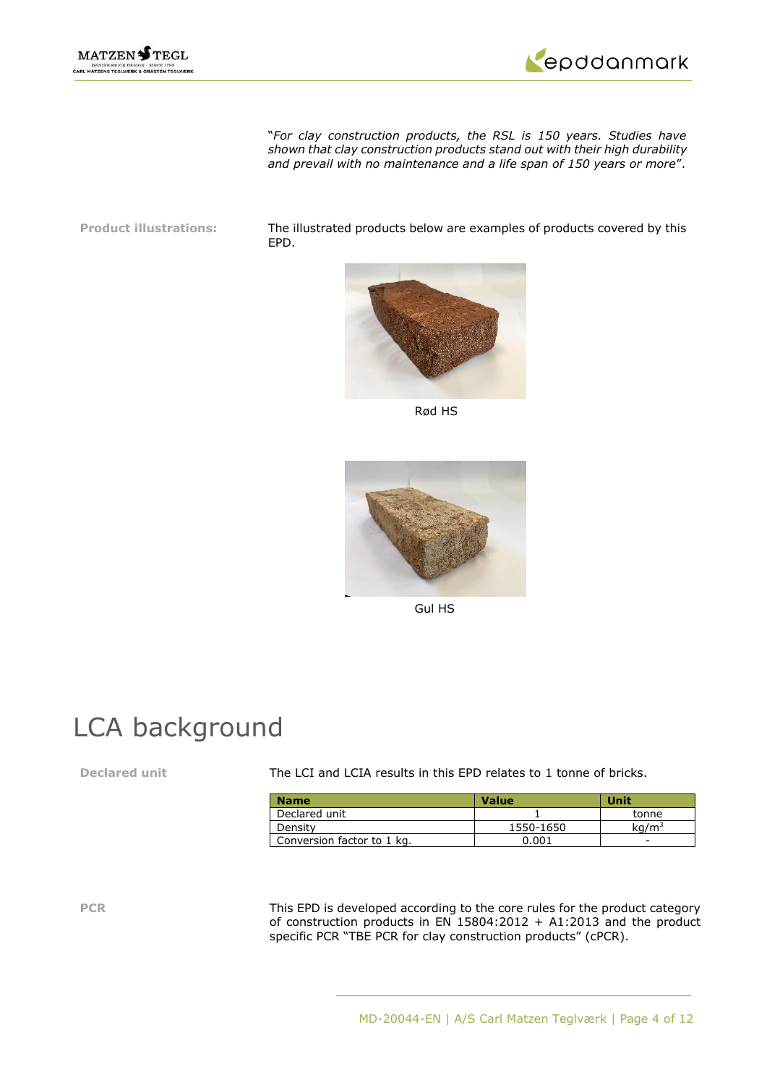



"*For clay construction products, the RSL is 150 years. Studies have shown that clay construction products stand out with their high durability and prevail with no maintenance and a life span of 150 years or more*".

**Product illustrations:** The illustrated products below are examples of products covered by this EPD.



Rød HS



Gul HS

## LCA background

**Declared** unit The LCI and LCIA results in this EPD relates to 1 tonne of bricks.

| <b>Name</b>                | <b>Value</b> | Unit         |
|----------------------------|--------------|--------------|
| Declared unit              |              | tonne        |
| Density                    | 1550-1650    | $\rm ka/m^3$ |
| Conversion factor to 1 kg. | 0.001        | -            |

**PCR** This EPD is developed according to the core rules for the product category of construction products in EN 15804:2012 + A1:2013 and the product specific PCR "TBE PCR for clay construction products" (cPCR).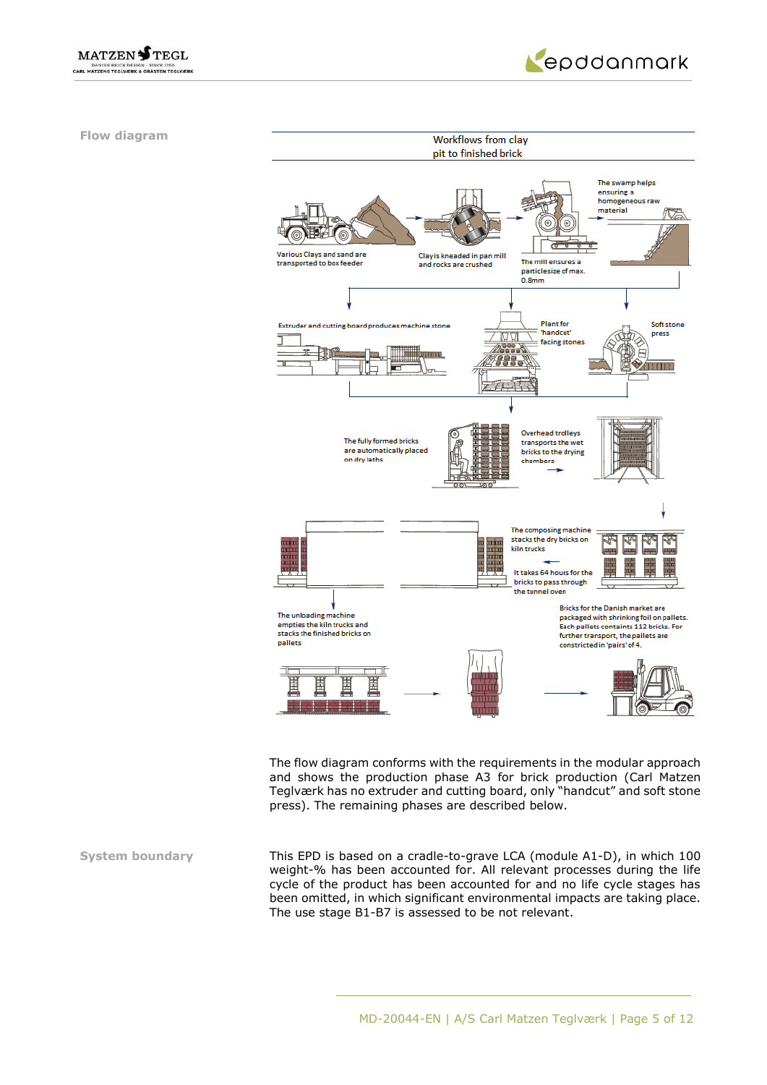



**Flow diagram**



The flow diagram conforms with the requirements in the modular approach and shows the production phase A3 for brick production (Carl Matzen Teglværk has no extruder and cutting board, only "handcut" and soft stone press). The remaining phases are described below.

**System boundary** This EPD is based on a cradle-to-grave LCA (module A1-D), in which 100 weight-% has been accounted for. All relevant processes during the life cycle of the product has been accounted for and no life cycle stages has been omitted, in which significant environmental impacts are taking place. The use stage B1-B7 is assessed to be not relevant.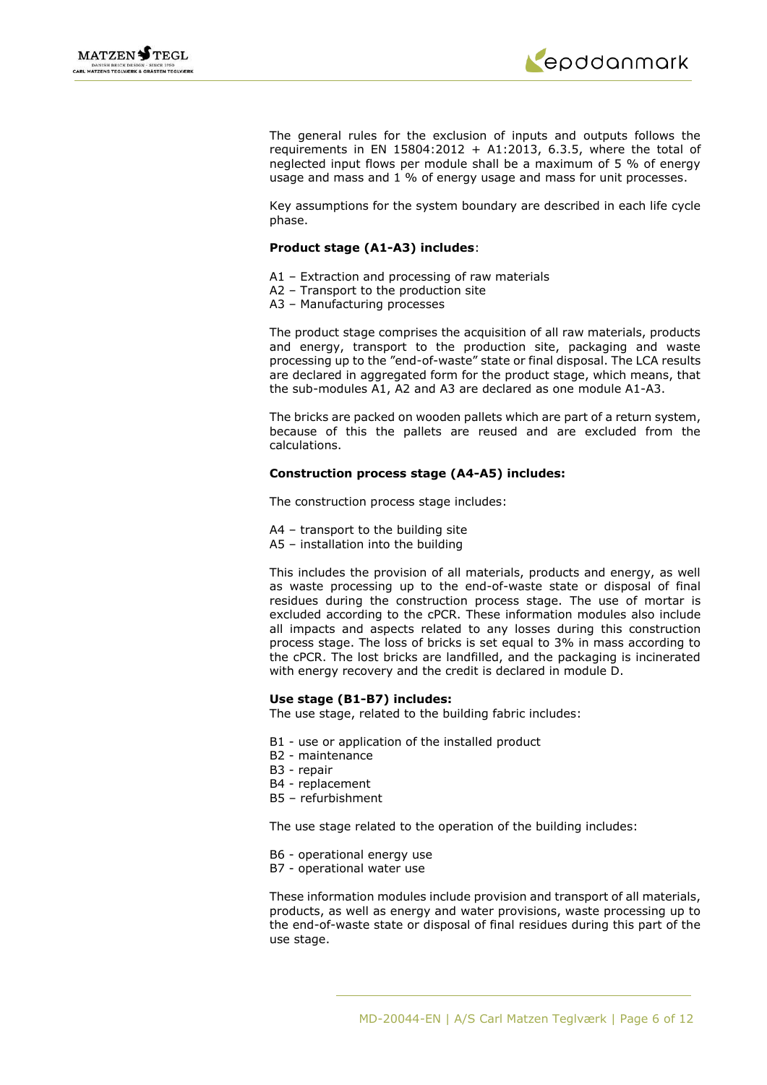



The general rules for the exclusion of inputs and outputs follows the requirements in EN 15804:2012 + A1:2013, 6.3.5, where the total of neglected input flows per module shall be a maximum of 5 % of energy usage and mass and 1 % of energy usage and mass for unit processes.

Key assumptions for the system boundary are described in each life cycle phase.

## **Product stage (A1-A3) includes**:

- A1 Extraction and processing of raw materials
- A2 Transport to the production site
- A3 Manufacturing processes

The product stage comprises the acquisition of all raw materials, products and energy, transport to the production site, packaging and waste processing up to the "end-of-waste" state or final disposal. The LCA results are declared in aggregated form for the product stage, which means, that the sub-modules A1, A2 and A3 are declared as one module A1-A3.

The bricks are packed on wooden pallets which are part of a return system, because of this the pallets are reused and are excluded from the calculations.

## **Construction process stage (A4-A5) includes:**

The construction process stage includes:

- A4 transport to the building site
- A5 installation into the building

This includes the provision of all materials, products and energy, as well as waste processing up to the end-of-waste state or disposal of final residues during the construction process stage. The use of mortar is excluded according to the cPCR. These information modules also include all impacts and aspects related to any losses during this construction process stage. The loss of bricks is set equal to 3% in mass according to the cPCR. The lost bricks are landfilled, and the packaging is incinerated with energy recovery and the credit is declared in module D.

### **Use stage (B1-B7) includes:**

The use stage, related to the building fabric includes:

- B1 use or application of the installed product
- B2 maintenance
- B3 repair
- B4 replacement
- B5 refurbishment

The use stage related to the operation of the building includes:

- B6 operational energy use
- B7 operational water use

These information modules include provision and transport of all materials, products, as well as energy and water provisions, waste processing up to the end-of-waste state or disposal of final residues during this part of the use stage.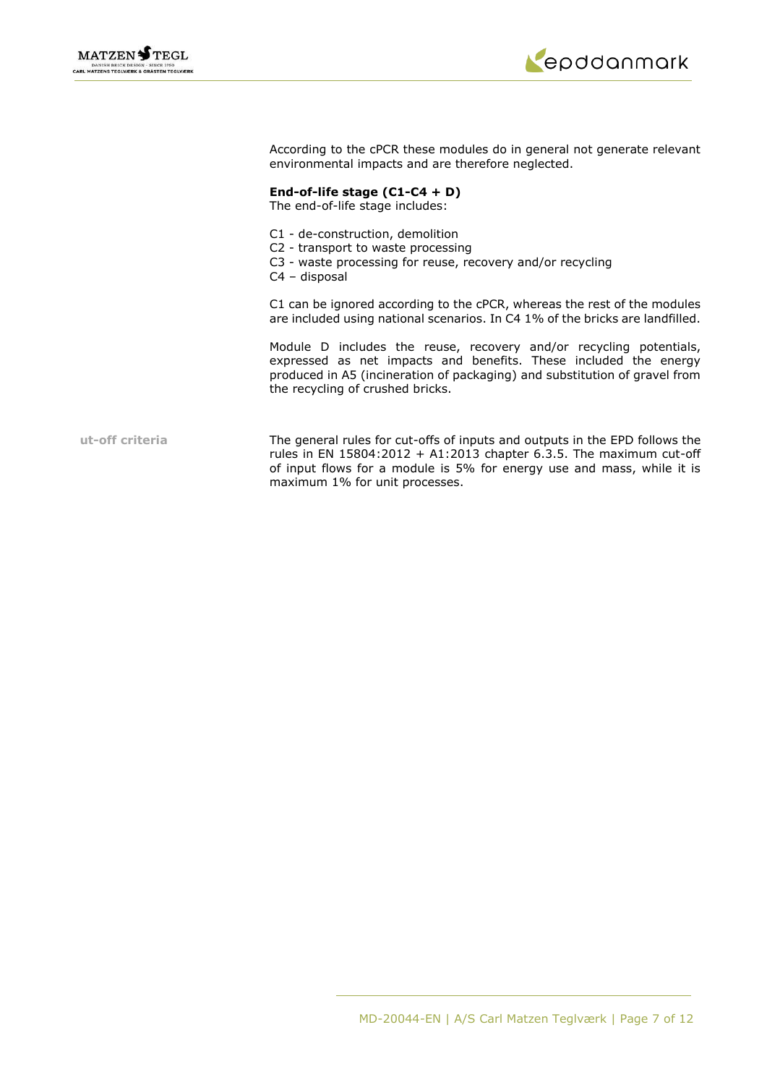



According to the cPCR these modules do in general not generate relevant environmental impacts and are therefore neglected.

## **End-of-life stage (C1-C4 + D)**

The end-of-life stage includes:

- C1 de-construction, demolition
- C2 transport to waste processing
- C3 waste processing for reuse, recovery and/or recycling
- C4 disposal

C1 can be ignored according to the cPCR, whereas the rest of the modules are included using national scenarios. In C4 1% of the bricks are landfilled.

Module D includes the reuse, recovery and/or recycling potentials, expressed as net impacts and benefits. These included the energy produced in A5 (incineration of packaging) and substitution of gravel from the recycling of crushed bricks.

**ut-off criteria** The general rules for cut-offs of inputs and outputs in the EPD follows the rules in EN 15804:2012 + A1:2013 chapter 6.3.5. The maximum cut-off of input flows for a module is 5% for energy use and mass, while it is maximum 1% for unit processes.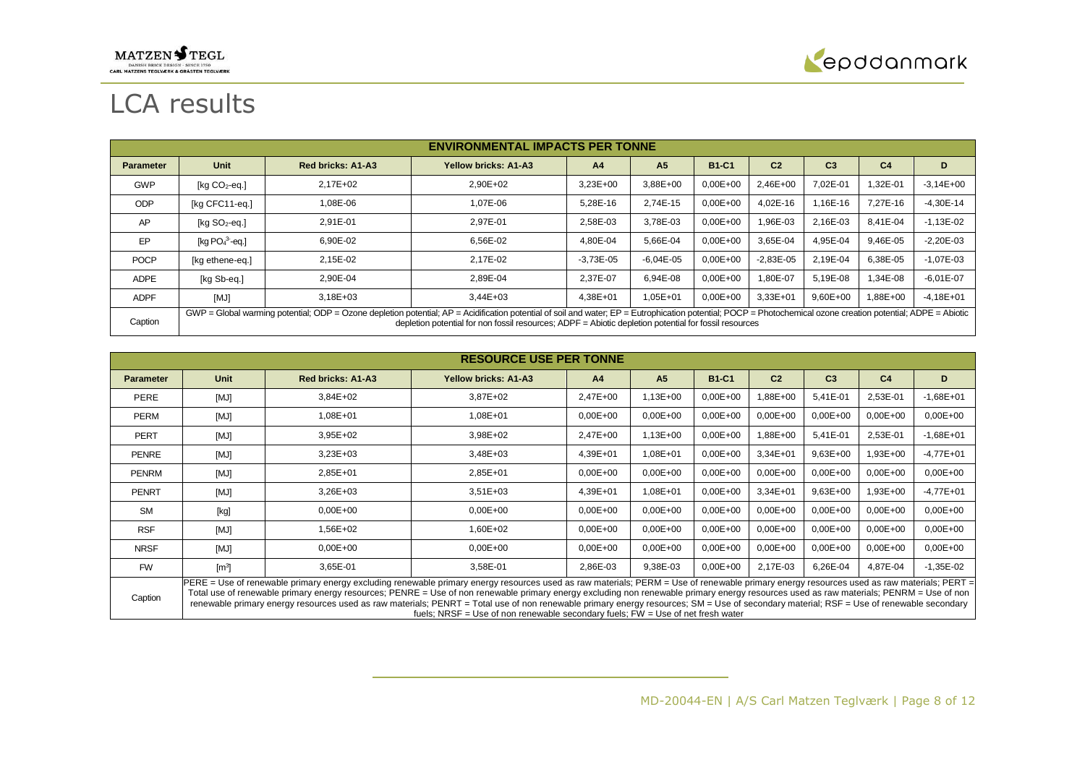# $\underset{\text{canl matrices}}{\text{MATZEN}} \underset{\text{maxl BRICR DESIGN - SINCR IN E0}}{\text{MASN BRICR DESION - SINCR I/200}} \underset{\text{canl}}{\text{MASTEN TECJ}}$



# LCA results

|                  | <b>ENVIRONMENTAL IMPACTS PER TONNE</b> |                                                                                                                                                                                                                                                                                                                        |                             |                |                |              |                |                |                |               |
|------------------|----------------------------------------|------------------------------------------------------------------------------------------------------------------------------------------------------------------------------------------------------------------------------------------------------------------------------------------------------------------------|-----------------------------|----------------|----------------|--------------|----------------|----------------|----------------|---------------|
| <b>Parameter</b> | Unit                                   | <b>Red bricks: A1-A3</b>                                                                                                                                                                                                                                                                                               | <b>Yellow bricks: A1-A3</b> | A <sub>4</sub> | A <sub>5</sub> | <b>B1-C1</b> | C <sub>2</sub> | C <sub>3</sub> | C <sub>4</sub> | D             |
| <b>GWP</b>       | $[Kq CO2-eq.]$                         | $2.17E + 02$                                                                                                                                                                                                                                                                                                           | $2.90E + 02$                | $3,23E+00$     | 3,88E+00       | $0,00E+00$   | 2,46E+00       | 7.02E-01       | 1,32E-01       | $-3.14E + 00$ |
| <b>ODP</b>       | [kg CFC11-eg.]                         | 1.08E-06                                                                                                                                                                                                                                                                                                               | 1.07E-06                    | 5.28E-16       | 2.74E-15       | $0.00E + 00$ | 4.02E-16       | 1.16E-16       | 7.27E-16       | $-4,30E-14$   |
| AP               | [ $kg SO2-eq.$ ]                       | 2,91E-01                                                                                                                                                                                                                                                                                                               | 2.97E-01                    | 2,58E-03       | 3.78E-03       | $0.00E + 00$ | 96E-03.        | 2.16E-03       | 8.41E-04       | $-1,13E-02$   |
| EP.              | [kg $PO43$ -eg.]                       | 6,90E-02                                                                                                                                                                                                                                                                                                               | 6.56E-02                    | 4,80E-04       | 5,66E-04       | $0,00E+00$   | 3,65E-04       | 4,95E-04       | 9,46E-05       | $-2,20E-03$   |
| <b>POCP</b>      | [kg ethene-eg.]                        | 2,15E-02                                                                                                                                                                                                                                                                                                               | 2.17E-02                    | $-3,73E-05$    | $-6.04E - 05$  | $0.00E + 00$ | $-2.83E - 05$  | 2.19E-04       | 6,38E-05       | $-1.07E - 03$ |
| <b>ADPE</b>      | [kg Sb-eq.]                            | 2,90E-04                                                                                                                                                                                                                                                                                                               | 2.89E-04                    | 2,37E-07       | 6.94E-08       | $0.00E + 00$ | 1.80E-07       | 5,19E-08       | 1,34E-08       | $-6,01E-07$   |
| <b>ADPF</b>      | [MJ]                                   | $3.18E + 03$                                                                                                                                                                                                                                                                                                           | $3.44E + 03$                | 4,38E+01       | $1.05E + 01$   | $0,00E+00$   | $3.33E + 01$   | $9.60E + 00$   | 1.88E+00       | $-4.18E + 01$ |
| Caption          |                                        | GWP = Global warming potential; ODP = Ozone depletion potential; AP = Acidification potential of soil and water; EP = Eutrophication potential; POCP = Photochemical ozone creation potential; ADPE = Abiotic<br>depletion potential for non fossil resources; ADPF = Abiotic depletion potential for fossil resources |                             |                |                |              |                |                |                |               |

|                  | <b>RESOURCE USE PER TONNE</b>                                                                                                                                                                                                                                                                                                                                                                                                                                                                                                                                                   |                   |                             |                |                |              |                |                |                |               |
|------------------|---------------------------------------------------------------------------------------------------------------------------------------------------------------------------------------------------------------------------------------------------------------------------------------------------------------------------------------------------------------------------------------------------------------------------------------------------------------------------------------------------------------------------------------------------------------------------------|-------------------|-----------------------------|----------------|----------------|--------------|----------------|----------------|----------------|---------------|
| <b>Parameter</b> | <b>Unit</b>                                                                                                                                                                                                                                                                                                                                                                                                                                                                                                                                                                     | Red bricks: A1-A3 | <b>Yellow bricks: A1-A3</b> | A <sub>4</sub> | A <sub>5</sub> | <b>B1-C1</b> | C <sub>2</sub> | C <sub>3</sub> | C <sub>4</sub> | D             |
| <b>PERE</b>      | [MJ]                                                                                                                                                                                                                                                                                                                                                                                                                                                                                                                                                                            | 3,84E+02          | 3,87E+02                    | 2,47E+00       | 1,13E+00       | $0,00E+00$   | 1,88E+00       | 5,41E-01       | 2,53E-01       | $-1,68E + 01$ |
| <b>PERM</b>      | [MJ]                                                                                                                                                                                                                                                                                                                                                                                                                                                                                                                                                                            | 1,08E+01          | 1,08E+01                    | $0,00E + 00$   | $0,00E+00$     | $0,00E+00$   | $0,00E+00$     | $0.00E + 00$   | $0,00E+00$     | $0,00E+00$    |
| <b>PERT</b>      | [MJ]                                                                                                                                                                                                                                                                                                                                                                                                                                                                                                                                                                            | $3,95E+02$        | 3,98E+02                    | 2,47E+00       | 1,13E+00       | $0,00E + 00$ | 1,88E+00       | 5,41E-01       | 2,53E-01       | $-1,68E + 01$ |
| <b>PENRE</b>     | [MJ]                                                                                                                                                                                                                                                                                                                                                                                                                                                                                                                                                                            | $3,23E+03$        | $3,48E+03$                  | 4,39E+01       | 1,08E+01       | $0,00E+00$   | $3,34E+01$     | $9,63E+00$     | 1,93E+00       | $-4,77E+01$   |
| <b>PENRM</b>     | [MJ]                                                                                                                                                                                                                                                                                                                                                                                                                                                                                                                                                                            | 2,85E+01          | 2,85E+01                    | $0,00E + 00$   | $0,00E+00$     | $0,00E + 00$ | $0,00E+00$     | $0.00E + 00$   | $0,00E+00$     | $0,00E+00$    |
| <b>PENRT</b>     | [MJ]                                                                                                                                                                                                                                                                                                                                                                                                                                                                                                                                                                            | $3,26E+03$        | $3,51E+03$                  | 4,39E+01       | 1,08E+01       | $0,00E+00$   | $3,34E+01$     | $9,63E+00$     | 1,93E+00       | $-4,77E+01$   |
| <b>SM</b>        | [kg]                                                                                                                                                                                                                                                                                                                                                                                                                                                                                                                                                                            | $0,00E+00$        | $0,00E+00$                  | $0,00E + 00$   | $0,00E+00$     | $0,00E + 00$ | $0,00E+00$     | $0,00E+00$     | $0,00E+00$     | $0,00E+00$    |
| <b>RSF</b>       | [MJ]                                                                                                                                                                                                                                                                                                                                                                                                                                                                                                                                                                            | .56E+02           | 1,60E+02                    | $0,00E + 00$   | $0,00E+00$     | $0,00E+00$   | $0,00E+00$     | $0.00E + 00$   | $0,00E+00$     | $0,00E+00$    |
| <b>NRSF</b>      | [MJ]                                                                                                                                                                                                                                                                                                                                                                                                                                                                                                                                                                            | $0,00E + 00$      | $0,00E+00$                  | $0,00E + 00$   | $0,00E+00$     | $0,00E+00$   | $0,00E+00$     | $0,00E+00$     | $0,00E+00$     | $0,00E+00$    |
| <b>FW</b>        | $\left[\text{m}^3\right]$                                                                                                                                                                                                                                                                                                                                                                                                                                                                                                                                                       | 3.65E-01          | 3,58E-01                    | 2,86E-03       | 9,38E-03       | $0.00E + 00$ | 2,17E-03       | 6,26E-04       | 4,87E-04       | $-1,35E-02$   |
| Caption          | PERE = Use of renewable primary energy excluding renewable primary energy resources used as raw materials; PERM = Use of renewable primary energy resources used as raw materials; PERT =<br>Total use of renewable primary energy resources; PENRE = Use of non renewable primary energy excluding non renewable primary energy resources used as raw materials; PENRM = Use of non<br>renewable primary energy resources used as raw materials; PENRT = Total use of non renewable primary energy resources; SM = Use of secondary material; RSF = Use of renewable secondary |                   |                             |                |                |              |                |                |                |               |

fuels; NRSF = Use of non renewable secondary fuels; FW = Use of net fresh water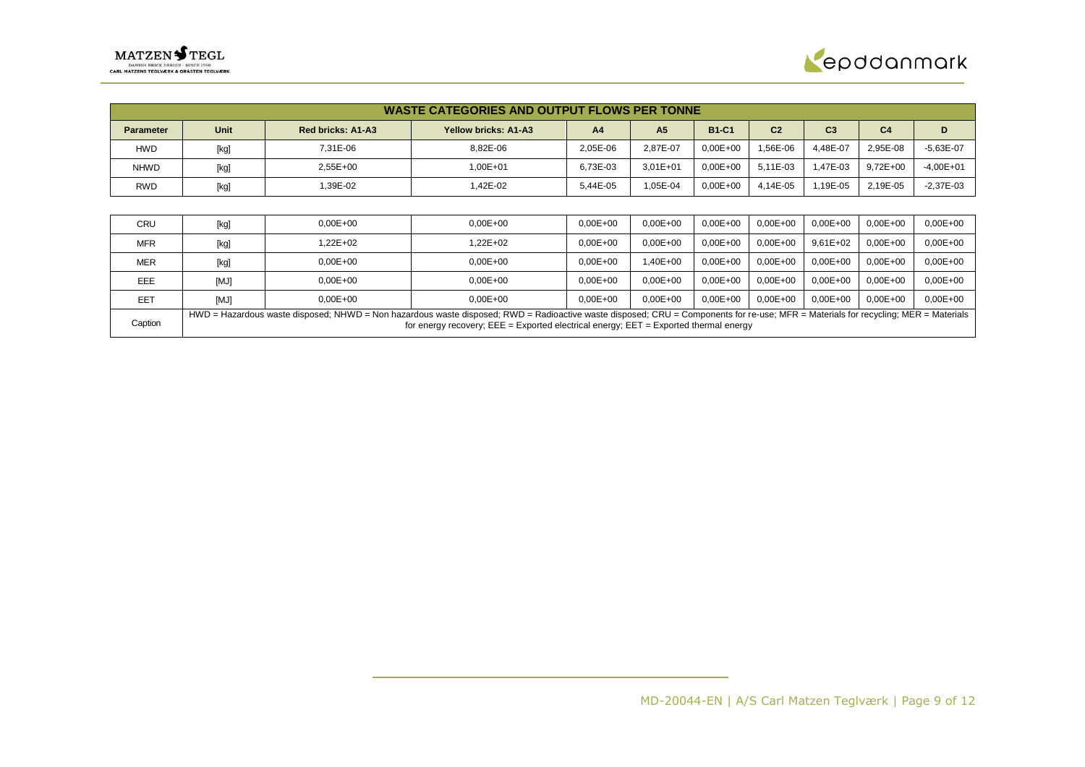

|                  | <b>WASTE CATEGORIES AND OUTPUT FLOWS PER TONNE</b> |                          |                                                                                                                                                                                                                                                                                 |                |                |              |                |                |                |              |  |
|------------------|----------------------------------------------------|--------------------------|---------------------------------------------------------------------------------------------------------------------------------------------------------------------------------------------------------------------------------------------------------------------------------|----------------|----------------|--------------|----------------|----------------|----------------|--------------|--|
| <b>Parameter</b> | Unit                                               | <b>Red bricks: A1-A3</b> | <b>Yellow bricks: A1-A3</b>                                                                                                                                                                                                                                                     | A <sub>4</sub> | A <sub>5</sub> | <b>B1-C1</b> | C <sub>2</sub> | C <sub>3</sub> | C <sub>4</sub> | D            |  |
| <b>HWD</b>       | [kg]                                               | 7,31E-06                 | 8,82E-06                                                                                                                                                                                                                                                                        | 2,05E-06       | 2,87E-07       | $0,00E+00$   | 1,56E-06       | 4,48E-07       | 2,95E-08       | $-5,63E-07$  |  |
| <b>NHWD</b>      | [kg]                                               | 2,55E+00                 | 1,00E+01                                                                                                                                                                                                                                                                        | 6,73E-03       | $3,01E+01$     | $0.00E + 00$ | 5,11E-03       | 1,47E-03       | $9,72E+00$     | $-4,00E+01$  |  |
| <b>RWD</b>       | [kg]                                               | 1,39E-02                 | 42E-02.                                                                                                                                                                                                                                                                         | 5,44E-05       | 1,05E-04       | $0,00E+00$   | 4.14E-05       | 1,19E-05       | 2,19E-05       | $-2,37E-03$  |  |
|                  |                                                    |                          |                                                                                                                                                                                                                                                                                 |                |                |              |                |                |                |              |  |
| <b>CRU</b>       | [kg]                                               | $0,00E + 00$             | $0,00E+00$                                                                                                                                                                                                                                                                      | $0,00E + 00$   | $0,00E+00$     | $0.00E + 00$ | $0,00E+00$     | $0,00E+00$     | $0,00E+00$     | $0,00E + 00$ |  |
| <b>MFR</b>       | $[kg]$                                             | .22E+02                  | 1,22E+02                                                                                                                                                                                                                                                                        | $0,00E+00$     | $0,00E+00$     | $0.00E + 00$ | $0.00E + 00$   | $9,61E+02$     | $0,00E+00$     | $0.00E + 00$ |  |
| <b>MER</b>       | [kg]                                               | $0,00E+00$               | $0,00E+00$                                                                                                                                                                                                                                                                      | $0,00E + 00$   | $,40E+00$      | $0.00E + 00$ | $0.00E + 00$   | $0,00E+00$     | $0.00E + 00$   | $0.00E + 00$ |  |
| EEE              | [MJ]                                               | $0,00E + 00$             | $0,00E+00$                                                                                                                                                                                                                                                                      | $0,00E+00$     | $0,00E+00$     | $0.00E + 00$ | $0.00E + 00$   | $0,00E+00$     | $0.00E + 00$   | $0.00E + 00$ |  |
| EET              | [MJ]                                               | $0.00E + 00$             | $0.00E + 00$                                                                                                                                                                                                                                                                    | $0,00E + 00$   | $0.00E + 00$   | $0,00E+00$   | $0,00E+00$     | $0,00E+00$     | $0,00E+00$     | $0.00E + 00$ |  |
| Caption          |                                                    |                          | HWD = Hazardous waste disposed; NHWD = Non hazardous waste disposed; RWD = Radioactive waste disposed; CRU = Components for re-use; MFR = Materials for recycling; MER = Materials<br>for energy recovery; $EEE = Exported electrical energy$ ; $EET = Exported thermal energy$ |                |                |              |                |                |                |              |  |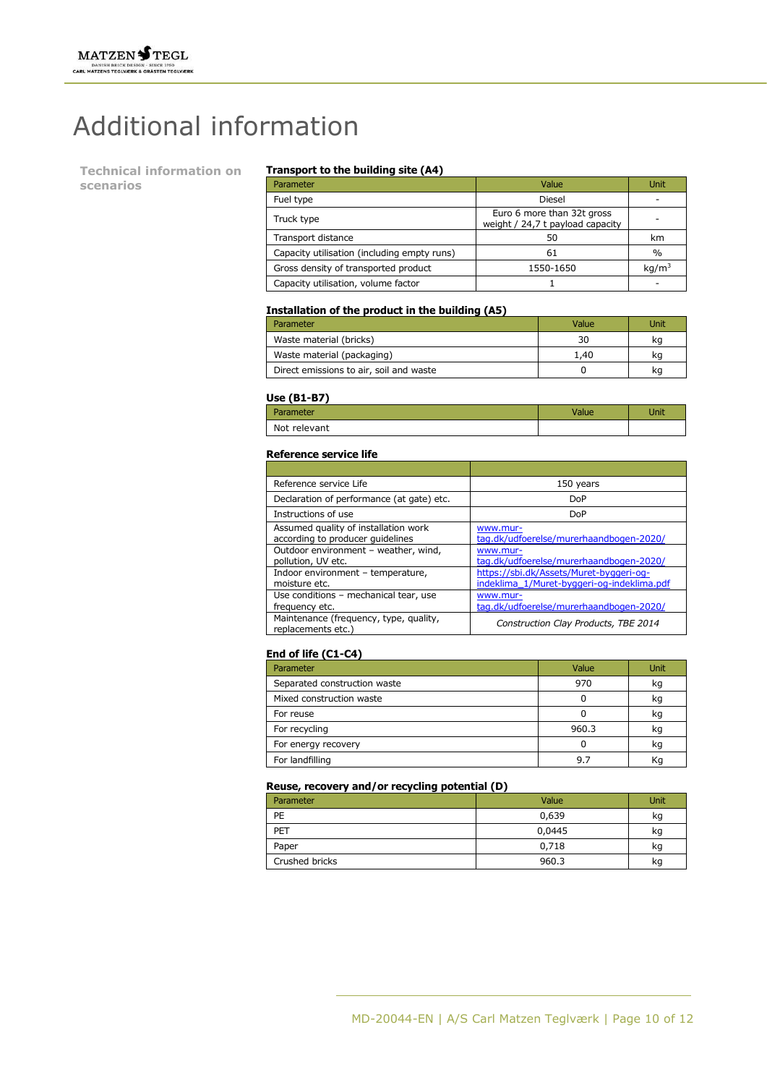# Additional information

**Technical information on scenarios**

#### **Transport to the building site (A4)**

| Parameter                                   | Value                                                          | Unit              |
|---------------------------------------------|----------------------------------------------------------------|-------------------|
| Fuel type                                   | Diesel                                                         |                   |
| Truck type                                  | Euro 6 more than 32t gross<br>weight / 24,7 t payload capacity |                   |
| Transport distance                          | 50                                                             | km                |
| Capacity utilisation (including empty runs) | 61                                                             | $\frac{0}{0}$     |
| Gross density of transported product        | 1550-1650                                                      | kq/m <sup>3</sup> |
| Capacity utilisation, volume factor         |                                                                |                   |

## **Installation of the product in the building (A5)**

| Parameter                               | Value | Unit |
|-----------------------------------------|-------|------|
| Waste material (bricks)                 | 30    | kq   |
| Waste material (packaging)              | 1,40  | kq   |
| Direct emissions to air, soil and waste |       | kq   |

#### **Use (B1-B7)**

| ----<br>ırameter | Jnit |
|------------------|------|
| Not relevant     |      |

### **Reference service life**

| Reference service Life                                                   | 150 years                                                                             |
|--------------------------------------------------------------------------|---------------------------------------------------------------------------------------|
| Declaration of performance (at gate) etc.                                | <b>DoP</b>                                                                            |
| Instructions of use                                                      | <b>DoP</b>                                                                            |
| Assumed quality of installation work<br>according to producer quidelines | www.mur-<br>tag.dk/udfoerelse/murerhaandbogen-2020/                                   |
| Outdoor environment - weather, wind,<br>pollution, UV etc.               | www.mur-<br>tag.dk/udfoerelse/murerhaandbogen-2020/                                   |
| Indoor environment - temperature,<br>moisture etc.                       | https://sbi.dk/Assets/Muret-byggeri-og-<br>indeklima_1/Muret-byggeri-og-indeklima.pdf |
| Use conditions - mechanical tear, use<br>frequency etc.                  | www.mur-<br>tag.dk/udfoerelse/murerhaandbogen-2020/                                   |
| Maintenance (frequency, type, quality,<br>replacements etc.)             | Construction Clay Products, TBE 2014                                                  |

## **End of life (C1-C4)**

| Parameter                    | Value | Unit |
|------------------------------|-------|------|
| Separated construction waste | 970   | kq   |
| Mixed construction waste     |       | kg   |
| For reuse                    |       | kq   |
| For recycling                | 960.3 | kg   |
| For energy recovery          |       | kq   |
| For landfilling              | 9.7   | Кq   |

## **Reuse, recovery and/or recycling potential (D)**

| Parameter      | Value  | Unit |
|----------------|--------|------|
| PE             | 0,639  | kg   |
| PET            | 0,0445 | kg   |
| Paper          | 0,718  | kg   |
| Crushed bricks | 960.3  | kg   |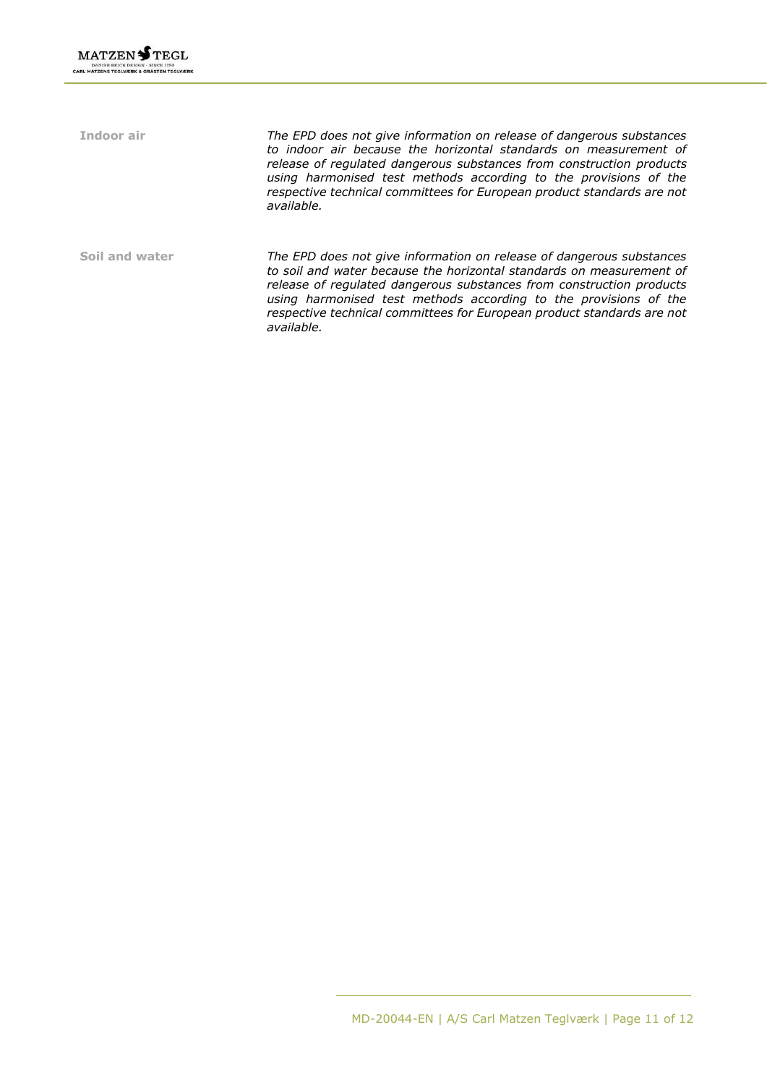**Indoor air** *The EPD does not give information on release of dangerous substances to indoor air because the horizontal standards on measurement of release of regulated dangerous substances from construction products using harmonised test methods according to the provisions of the respective technical committees for European product standards are not available.* **Soil and water** *The EPD does not give information on release of dangerous substances to soil and water because the horizontal standards on measurement of release of regulated dangerous substances from construction products using harmonised test methods according to the provisions of the respective technical committees for European product standards are not available.*